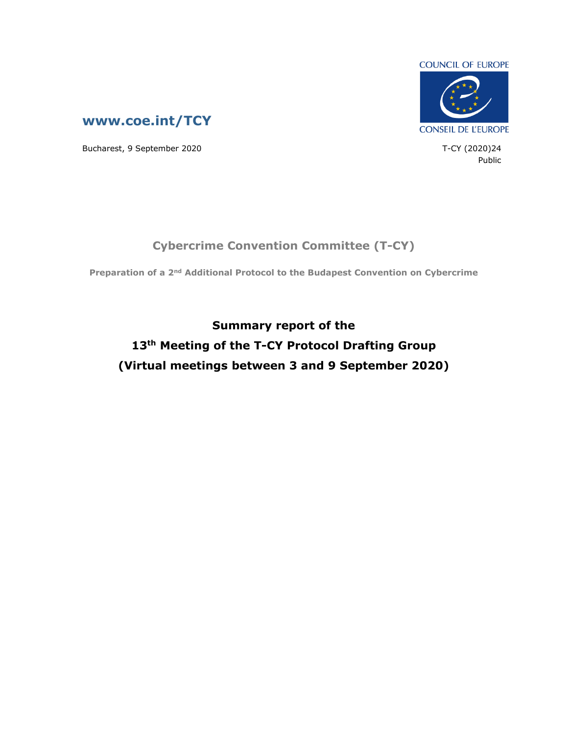

Public



Bucharest, 9 September 2020 **T**-CY (2020)24

## **Cybercrime Convention Committee (T-CY)**

**Preparation of a 2nd Additional Protocol to the Budapest Convention on Cybercrime**

**Summary report of the 13th Meeting of the T-CY Protocol Drafting Group (Virtual meetings between 3 and 9 September 2020)**